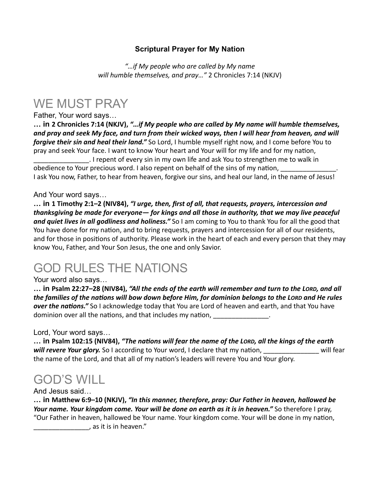#### **Scriptural Prayer for My Nation**

*"…if My people who are called by My name*  will humble themselves, and pray..." 2 Chronicles 7:14 (NKJV)

### WE MUST PRAY

Father, Your word says…

... in 2 Chronicles 7:14 (NKJV), "...if My people who are called by My name will humble themselves, and pray and seek My face, and turn from their wicked ways, then I will hear from heaven, and will *forgive their sin and heal their land."* So Lord, I humble myself right now, and I come before You to pray and seek Your face. I want to know Your heart and Your will for my life and for my nation, \_\_\_\_\_\_\_\_\_\_\_\_\_\_\_. I repent of every sin in my own life and ask You to strengthen me to walk in obedience to Your precious word. I also repent on behalf of the sins of my nation, I ask You now, Father, to hear from heaven, forgive our sins, and heal our land, in the name of Jesus!

#### And Your word says…

**… in 1 Timothy 2:1–2 (NIV84),** *"I urge, then, first of all, that requests, prayers, intercession and*  thanksgiving be made for everyone— for kings and all those in authority, that we may live peaceful and quiet lives in all godliness and holiness." So I am coming to You to thank You for all the good that You have done for my nation, and to bring requests, prayers and intercession for all of our residents, and for those in positions of authority. Please work in the heart of each and every person that they may know You, Father, and Your Son Jesus, the one and only Savior.

## GOD RULES THE NATIONS

#### Your word also says…

**… in Psalm 22:27–28 (NIV84),** *"All the ends of the earth will remember and turn to the LORD, and all*  the families of the nations will bow down before Him, for dominion belongs to the LORD and He rules *over the nations."* So I acknowledge today that You are Lord of heaven and earth, and that You have dominion over all the nations, and that includes my nation, and the state of the state of the state of the sta

Lord, Your word says…

... in Psalm 102:15 (NIV84), "The nations will fear the name of the LORD, all the kings of the earth will revere Your glory. So I according to Your word, I declare that my nation, \_\_\_\_\_\_\_\_\_\_\_\_\_\_\_\_\_ will fear the name of the Lord, and that all of my nation's leaders will revere You and Your glory.

## GOD'S WILL

And Jesus said…

... in Matthew 6:9–10 (NKJV), "In this manner, therefore, pray: Our Father in heaven, hallowed be *Your name. Your kingdom come. Your will be done on earth as it is in heaven."* **So therefore I pray,** "Our Father in heaven, hallowed be Your name. Your kingdom come. Your will be done in my nation, \_\_\_\_\_\_\_\_\_\_\_\_\_\_\_, as it is in heaven."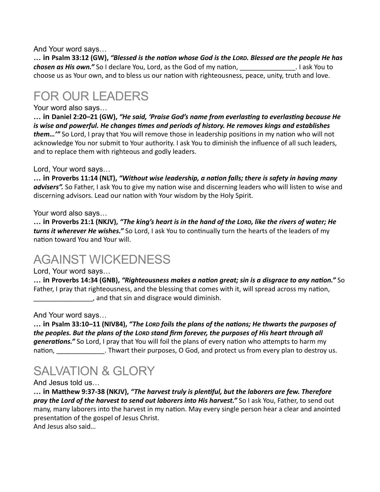And Your word says…

... in Psalm 33:12 (GW), "Blessed is the nation whose God is the LORD. Blessed are the people He has *chosen as His own."* So I declare You, Lord, as the God of my nation, \_\_\_\_\_\_\_\_\_\_\_\_\_\_\_\_\_\_. I ask You to choose us as Your own, and to bless us our nation with righteousness, peace, unity, truth and love.

## FOR OUR LEADERS

#### Your word also says…

... in Daniel 2:20–21 (GW), "He said, 'Praise God's name from everlasting to everlasting because He *is* wise and powerful. He changes times and periods of history. He removes kings and establishes *them..."* So Lord, I pray that You will remove those in leadership positions in my nation who will not acknowledge You nor submit to Your authority. I ask You to diminish the influence of all such leaders, and to replace them with righteous and godly leaders.

#### Lord, Your word says…

... in Proverbs 11:14 (NLT), "Without wise leadership, a nation falls; there is safety in having many advisers". So Father, I ask You to give my nation wise and discerning leaders who will listen to wise and discerning advisors. Lead our nation with Your wisdom by the Holy Spirit.

#### Your word also says…

**… in Proverbs 21:1 (NKJV),** *"The king's heart is in the hand of the LORD, like the rivers of water; He turns it wherever He wishes."* So Lord, I ask You to continually turn the hearts of the leaders of my nation toward You and Your will.

### AGAINST WICKEDNESS

#### Lord, Your word says…

**…** in Proverbs 14:34 (GNB), "Righteousness makes a nation great; sin is a disgrace to any nation." So Father, I pray that righteousness, and the blessing that comes with it, will spread across my nation, \_\_\_\_\_\_\_\_\_\_\_\_\_\_\_\_, and that sin and disgrace would diminish. 

#### And Your word says…

... in Psalm 33:10–11 (NIV84), "The Lorp foils the plans of the nations; He thwarts the purposes of the peoples. But the plans of the LORD stand firm forever, the purposes of His heart through all generations." So Lord, I pray that You will foil the plans of every nation who attempts to harm my nation, and their purposes, O God, and protect us from every plan to destroy us.

# SALVATION & GLORY

#### And Jesus told us…

… in Matthew 9:37-38 (NKJV), "The harvest truly is plentiful, but the laborers are few. Therefore *pray the Lord of the harvest to send out laborers into His harvest."* So I ask You, Father, to send out many, many laborers into the harvest in my nation. May every single person hear a clear and anointed presentation of the gospel of Jesus Christ.

And Jesus also said...